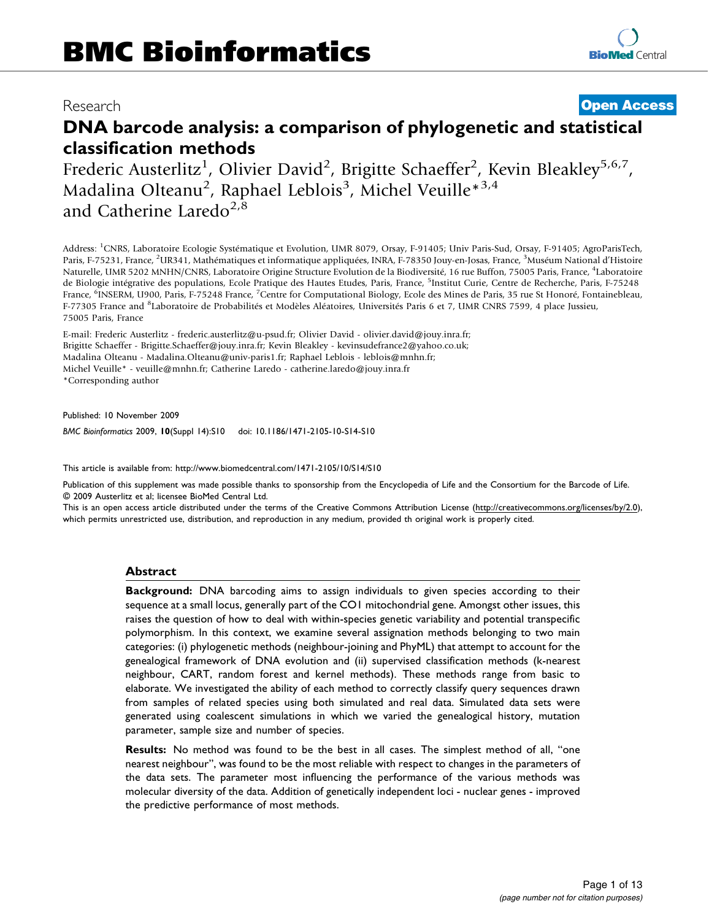# Research

# **[Open Access](http://www.biomedcentral.com/info/about/charter/)**

# DNA barcode analysis: a comparison of phylogenetic and statistical classification methods

Frederic Austerlitz<sup>1</sup>, Olivier David<sup>2</sup>, Brigitte Schaeffer<sup>2</sup>, Kevin Bleakley<sup>5,6,7</sup>, Madalina Olteanu<sup>2</sup>, Raphael Leblois<sup>3</sup>, Michel Veuille<sup>\*3,4</sup> and Catherine Laredo<sup>2,8</sup>

Address: <sup>1</sup>CNRS, Laboratoire Ecologie Systématique et Evolution, UMR 8079, Orsay, F-91405; Univ Paris-Sud, Orsay, F-91405; AgroParisTech, Paris, F-75231, France, <sup>2</sup>UR341, Mathématiques et informatique appliquées, INRA, F-78350 Jouy-en-Josas, France, <sup>3</sup>Muséum National d'Histoire Naturelle, UMR 5202 MNHN/CNRS, Laboratoire Origine Structure Evolution de la Biodiversité, 16 rue Buffon, 75005 Paris, France, <sup>4</sup>Laboratoire de Biologie intégrative des populations, Ecole Pratique des Hautes Etudes, Paris, France, <sup>5</sup>Institut Curie, Centre de Recherche, Paris, F-75248 France, <sup>6</sup>INSERM, U900, Paris, F-75248 France, <sup>7</sup>Centre for Computational Biology, Ecole des Mines de Paris, 35 rue St Honoré, Fontainebleau, F-77305 France and <sup>8</sup>Laboratoire de Probabilités et Modèles Aléatoires, Universités Paris 6 et 7, UMR CNRS 7599, 4 place Jussieu, 75005 Paris, France

E-mail: Frederic Austerlitz - [frederic.austerlitz@u-psud.fr;](mailto:frederic.austerlitz@u-psud.fr) Olivier David - [olivier.david@jouy.inra.fr](mailto:olivier.david@jouy.inra.fr); Brigitte Schaeffer - [Brigitte.Schaeffer@jouy.inra.fr](mailto:Brigitte.Schaeffer@jouy.inra.fr); Kevin Bleakley - [kevinsudefrance2@yahoo.co.uk;](mailto:kevinsudefrance2@yahoo.co.uk) Madalina Olteanu - [Madalina.Olteanu@univ-paris1.fr;](mailto:Madalina.Olteanu@univ-paris1.fr) Raphael Leblois - [leblois@mnhn.fr;](mailto:leblois@mnhn.fr) Michel Veuille\* - [veuille@mnhn.fr;](mailto:veuille@mnhn.fr) Catherine Laredo - [catherine.laredo@jouy.inra.fr](mailto:catherine.laredo@jouy.inra.fr) \*Corresponding author

Published: 10 November 2009

BMC Bioinformatics 2009, 10(Suppl 14):S10 doi: 10.1186/1471-2105-10-S14-S10

This article is available from: http://www.biomedcentral.com/1471-2105/10/S14/S10

Publication of this supplement was made possible thanks to sponsorship from the Encyclopedia of Life and the Consortium for the Barcode of Life. © 2009 Austerlitz et al; licensee BioMed Central Ltd.

This is an open access article distributed under the terms of the Creative Commons Attribution License [\(http://creativecommons.org/licenses/by/2.0\)](http://creativecommons.org/licenses/by/2.0), which permits unrestricted use, distribution, and reproduction in any medium, provided th original work is properly cited.

# Abstract

**Background:** DNA barcoding aims to assign individuals to given species according to their sequence at a small locus, generally part of the CO1 mitochondrial gene. Amongst other issues, this raises the question of how to deal with within-species genetic variability and potential transpecific polymorphism. In this context, we examine several assignation methods belonging to two main categories: (i) phylogenetic methods (neighbour-joining and PhyML) that attempt to account for the genealogical framework of DNA evolution and (ii) supervised classification methods (k-nearest neighbour, CART, random forest and kernel methods). These methods range from basic to elaborate. We investigated the ability of each method to correctly classify query sequences drawn from samples of related species using both simulated and real data. Simulated data sets were generated using coalescent simulations in which we varied the genealogical history, mutation parameter, sample size and number of species.

Results: No method was found to be the best in all cases. The simplest method of all, "one nearest neighbour", was found to be the most reliable with respect to changes in the parameters of the data sets. The parameter most influencing the performance of the various methods was molecular diversity of the data. Addition of genetically independent loci - nuclear genes - improved the predictive performance of most methods.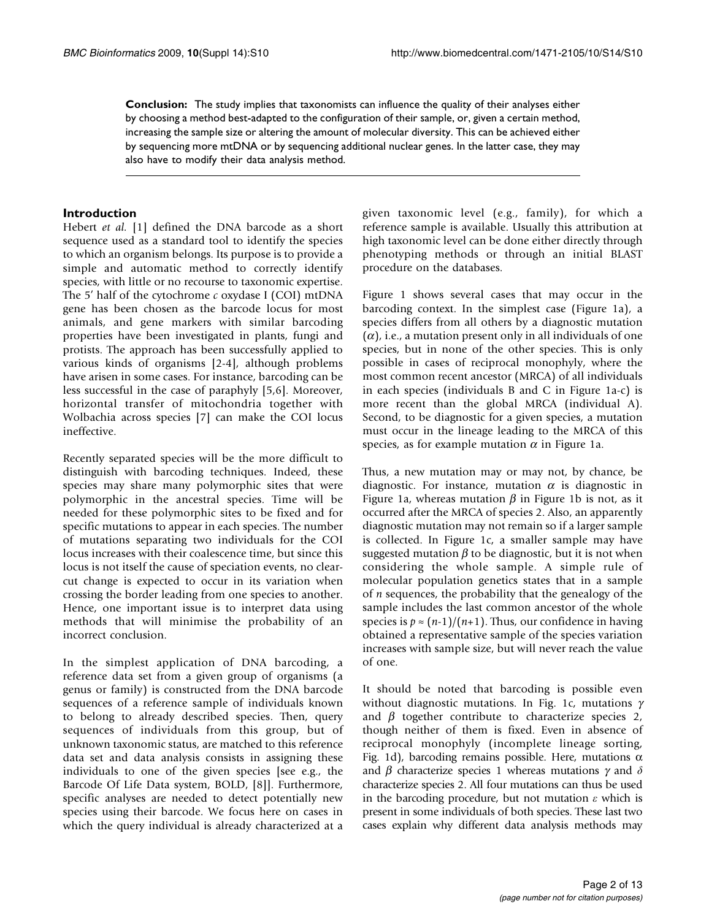Conclusion: The study implies that taxonomists can influence the quality of their analyses either by choosing a method best-adapted to the configuration of their sample, or, given a certain method, increasing the sample size or altering the amount of molecular diversity. This can be achieved either by sequencing more mtDNA or by sequencing additional nuclear genes. In the latter case, they may also have to modify their data analysis method.

# Introduction

Hebert et al. [[1](#page-11-0)] defined the DNA barcode as a short sequence used as a standard tool to identify the species to which an organism belongs. Its purpose is to provide a simple and automatic method to correctly identify species, with little or no recourse to taxonomic expertise. The 5' half of the cytochrome  $c$  oxydase I (COI) mtDNA gene has been chosen as the barcode locus for most animals, and gene markers with similar barcoding properties have been investigated in plants, fungi and protists. The approach has been successfully applied to various kinds of organisms [[2-4\]](#page-11-0), although problems have arisen in some cases. For instance, barcoding can be less successful in the case of paraphyly [\[5,6\]](#page-11-0). Moreover, horizontal transfer of mitochondria together with Wolbachia across species [\[7\]](#page-11-0) can make the COI locus ineffective.

Recently separated species will be the more difficult to distinguish with barcoding techniques. Indeed, these species may share many polymorphic sites that were polymorphic in the ancestral species. Time will be needed for these polymorphic sites to be fixed and for specific mutations to appear in each species. The number of mutations separating two individuals for the COI locus increases with their coalescence time, but since this locus is not itself the cause of speciation events, no clearcut change is expected to occur in its variation when crossing the border leading from one species to another. Hence, one important issue is to interpret data using methods that will minimise the probability of an incorrect conclusion.

In the simplest application of DNA barcoding, a reference data set from a given group of organisms (a genus or family) is constructed from the DNA barcode sequences of a reference sample of individuals known to belong to already described species. Then, query sequences of individuals from this group, but of unknown taxonomic status, are matched to this reference data set and data analysis consists in assigning these individuals to one of the given species [see e.g., the Barcode Of Life Data system, BOLD, [[8](#page-11-0)]]. Furthermore, specific analyses are needed to detect potentially new species using their barcode. We focus here on cases in which the query individual is already characterized at a given taxonomic level (e.g., family), for which a reference sample is available. Usually this attribution at high taxonomic level can be done either directly through phenotyping methods or through an initial BLAST procedure on the databases.

Figure [1](#page-2-0) shows several cases that may occur in the barcoding context. In the simplest case (Figure [1a](#page-2-0)), a species differs from all others by a diagnostic mutation  $(\alpha)$ , i.e., a mutation present only in all individuals of one species, but in none of the other species. This is only possible in cases of reciprocal monophyly, where the most common recent ancestor (MRCA) of all individuals in each species (individuals B and C in Figure 1a-c) is more recent than the global MRCA (individual A). Second, to be diagnostic for a given species, a mutation must occur in the lineage leading to the MRCA of this species, as for example mutation  $\alpha$  in Figure [1a.](#page-2-0)

Thus, a new mutation may or may not, by chance, be diagnostic. For instance, mutation  $\alpha$  is diagnostic in Figure [1a](#page-2-0), whereas mutation  $\beta$  in Figure [1b](#page-2-0) is not, as it occurred after the MRCA of species 2. Also, an apparently diagnostic mutation may not remain so if a larger sample is collected. In Figure [1c,](#page-2-0) a smaller sample may have suggested mutation  $\beta$  to be diagnostic, but it is not when considering the whole sample. A simple rule of molecular population genetics states that in a sample of n sequences, the probability that the genealogy of the sample includes the last common ancestor of the whole species is  $p \approx (n-1)/(n+1)$ . Thus, our confidence in having obtained a representative sample of the species variation increases with sample size, but will never reach the value of one.

It should be noted that barcoding is possible even without diagnostic mutations. In Fig. [1c](#page-2-0), mutations  $\gamma$ and  $\beta$  together contribute to characterize species 2, though neither of them is fixed. Even in absence of reciprocal monophyly (incomplete lineage sorting, Fig. [1d\)](#page-2-0), barcoding remains possible. Here, mutations  $\alpha$ and  $\beta$  characterize species 1 whereas mutations  $\gamma$  and  $\delta$ characterize species 2. All four mutations can thus be used in the barcoding procedure, but not mutation  $\varepsilon$  which is present in some individuals of both species. These last two cases explain why different data analysis methods may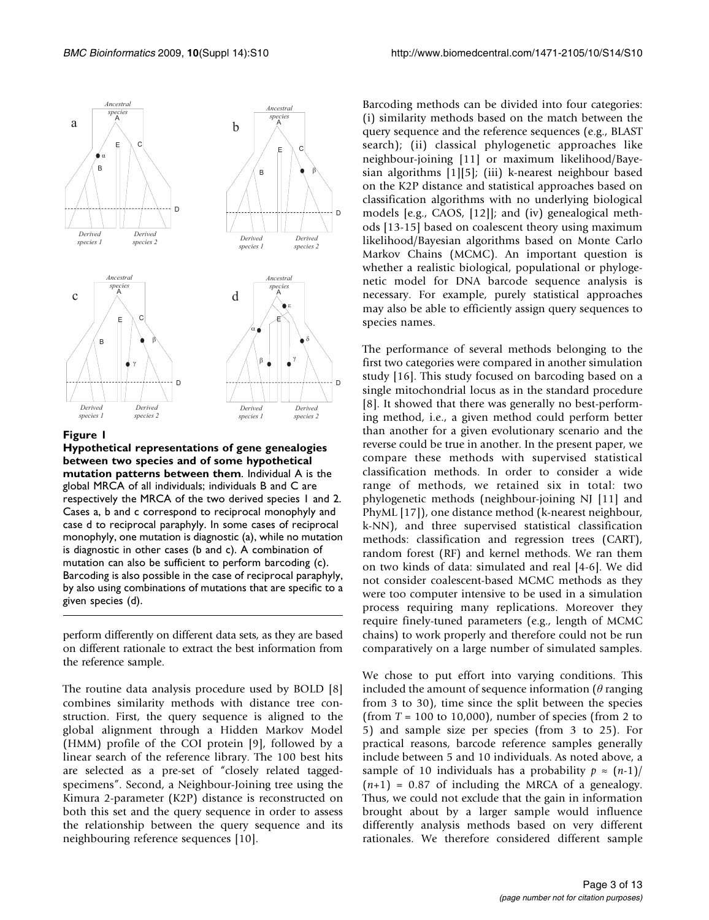<span id="page-2-0"></span>

#### Figure 1

Hypothetical representations of gene genealogies between two species and of some hypothetical mutation patterns between them. Individual A is the global MRCA of all individuals; individuals B and C are respectively the MRCA of the two derived species 1 and 2. Cases a, b and c correspond to reciprocal monophyly and case d to reciprocal paraphyly. In some cases of reciprocal monophyly, one mutation is diagnostic (a), while no mutation is diagnostic in other cases (b and c). A combination of mutation can also be sufficient to perform barcoding (c). Barcoding is also possible in the case of reciprocal paraphyly, by also using combinations of mutations that are specific to a given species (d).

perform differently on different data sets, as they are based on different rationale to extract the best information from the reference sample.

The routine data analysis procedure used by BOLD [\[8\]](#page-11-0) combines similarity methods with distance tree construction. First, the query sequence is aligned to the global alignment through a Hidden Markov Model (HMM) profile of the COI protein [\[9\]](#page-11-0), followed by a linear search of the reference library. The 100 best hits are selected as a pre-set of "closely related taggedspecimens". Second, a Neighbour-Joining tree using the Kimura 2-parameter (K2P) distance is reconstructed on both this set and the query sequence in order to assess the relationship between the query sequence and its neighbouring reference sequences [[10](#page-11-0)].

Barcoding methods can be divided into four categories: (i) similarity methods based on the match between the query sequence and the reference sequences (e.g., BLAST search); (ii) classical phylogenetic approaches like neighbour-joining [[11\]](#page-11-0) or maximum likelihood/Bayesian algorithms [[1](#page-11-0)][\[5\]](#page-11-0); (iii) k-nearest neighbour based on the K2P distance and statistical approaches based on classification algorithms with no underlying biological models [e.g., CAOS, [\[12](#page-11-0)]]; and (iv) genealogical methods [[13-15\]](#page-11-0) based on coalescent theory using maximum likelihood/Bayesian algorithms based on Monte Carlo Markov Chains (MCMC). An important question is whether a realistic biological, populational or phylogenetic model for DNA barcode sequence analysis is necessary. For example, purely statistical approaches may also be able to efficiently assign query sequences to species names.

The performance of several methods belonging to the first two categories were compared in another simulation study [[16\]](#page-11-0). This study focused on barcoding based on a single mitochondrial locus as in the standard procedure [[8](#page-11-0)]. It showed that there was generally no best-performing method, i.e., a given method could perform better than another for a given evolutionary scenario and the reverse could be true in another. In the present paper, we compare these methods with supervised statistical classification methods. In order to consider a wide range of methods, we retained six in total: two phylogenetic methods (neighbour-joining NJ [\[11](#page-11-0)] and PhyML [[17\]](#page-11-0)), one distance method (k-nearest neighbour, k-NN), and three supervised statistical classification methods: classification and regression trees (CART), random forest (RF) and kernel methods. We ran them on two kinds of data: simulated and real [\[4-6](#page-11-0)]. We did not consider coalescent-based MCMC methods as they were too computer intensive to be used in a simulation process requiring many replications. Moreover they require finely-tuned parameters (e.g., length of MCMC chains) to work properly and therefore could not be run comparatively on a large number of simulated samples.

We chose to put effort into varying conditions. This included the amount of sequence information ( $\theta$  ranging from 3 to 30), time since the split between the species (from  $T = 100$  to 10,000), number of species (from 2 to 5) and sample size per species (from 3 to 25). For practical reasons, barcode reference samples generally include between 5 and 10 individuals. As noted above, a sample of 10 individuals has a probability  $p \approx (n-1)/$  $(n+1) = 0.87$  of including the MRCA of a genealogy. Thus, we could not exclude that the gain in information brought about by a larger sample would influence differently analysis methods based on very different rationales. We therefore considered different sample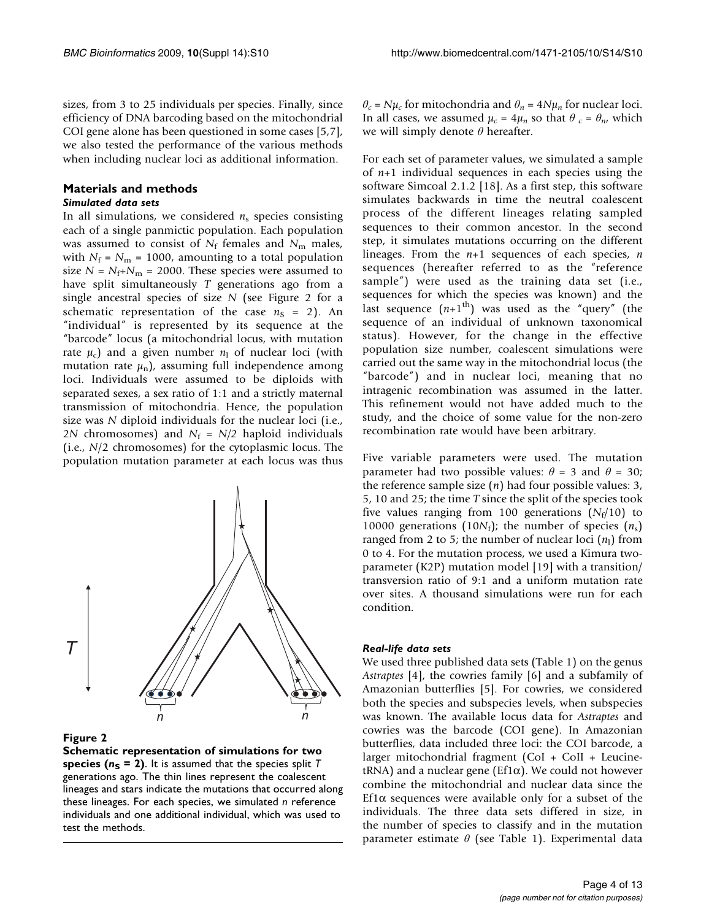sizes, from 3 to 25 individuals per species. Finally, since efficiency of DNA barcoding based on the mitochondrial COI gene alone has been questioned in some cases [[5](#page-11-0),[7](#page-11-0)], we also tested the performance of the various methods when including nuclear loci as additional information.

# Materials and methods

# Simulated data sets

In all simulations, we considered  $n<sub>s</sub>$  species consisting each of a single panmictic population. Each population was assumed to consist of  $N_f$  females and  $N_m$  males, with  $N_f = N_m = 1000$ , amounting to a total population size  $N = N_f + N_m = 2000$ . These species were assumed to have split simultaneously T generations ago from a single ancestral species of size N (see Figure 2 for a schematic representation of the case  $n<sub>S</sub> = 2$ ). An "individual" is represented by its sequence at the "barcode" locus (a mitochondrial locus, with mutation rate  $\mu_c$ ) and a given number  $n_1$  of nuclear loci (with mutation rate  $\mu_{\rm n}$ ), assuming full independence among loci. Individuals were assumed to be diploids with separated sexes, a sex ratio of 1:1 and a strictly maternal transmission of mitochondria. Hence, the population size was N diploid individuals for the nuclear loci (i.e., 2N chromosomes) and  $N_f = N/2$  haploid individuals (i.e., N/2 chromosomes) for the cytoplasmic locus. The population mutation parameter at each locus was thus



#### Figure 2

Schematic representation of simulations for two species ( $n<sub>S</sub>$  = 2). It is assumed that the species split T generations ago. The thin lines represent the coalescent lineages and stars indicate the mutations that occurred along these lineages. For each species, we simulated n reference individuals and one additional individual, which was used to test the methods.

 $\theta_c = N\mu_c$  for mitochondria and  $\theta_n = 4N\mu_n$  for nuclear loci. In all cases, we assumed  $\mu_c = 4\mu_n$  so that  $\theta_c = \theta_n$ , which we will simply denote  $\theta$  hereafter.

For each set of parameter values, we simulated a sample of  $n+1$  individual sequences in each species using the software Simcoal 2.1.2 [[18\]](#page-11-0). As a first step, this software simulates backwards in time the neutral coalescent process of the different lineages relating sampled sequences to their common ancestor. In the second step, it simulates mutations occurring on the different lineages. From the  $n+1$  sequences of each species, n sequences (hereafter referred to as the "reference sample") were used as the training data set (i.e., sequences for which the species was known) and the last sequence  $(n+1<sup>th</sup>)$  was used as the "query" (the sequence of an individual of unknown taxonomical status). However, for the change in the effective population size number, coalescent simulations were carried out the same way in the mitochondrial locus (the "barcode") and in nuclear loci, meaning that no intragenic recombination was assumed in the latter. This refinement would not have added much to the study, and the choice of some value for the non-zero recombination rate would have been arbitrary.

Five variable parameters were used. The mutation parameter had two possible values:  $\theta = 3$  and  $\theta = 30$ ; the reference sample size  $(n)$  had four possible values: 3, 5, 10 and 25; the time T since the split of the species took five values ranging from 100 generations  $(N_f/10)$  to 10000 generations (10 $N_f$ ); the number of species  $(n_s)$ ranged from 2 to 5; the number of nuclear loci  $(n_1)$  from 0 to 4. For the mutation process, we used a Kimura twoparameter (K2P) mutation model [[19\]](#page-11-0) with a transition/ transversion ratio of 9:1 and a uniform mutation rate over sites. A thousand simulations were run for each condition.

# Real-life data sets

We used three published data sets (Table [1\)](#page-4-0) on the genus Astraptes [[4](#page-11-0)], the cowries family [\[6\]](#page-11-0) and a subfamily of Amazonian butterflies [[5](#page-11-0)]. For cowries, we considered both the species and subspecies levels, when subspecies was known. The available locus data for Astraptes and cowries was the barcode (COI gene). In Amazonian butterflies, data included three loci: the COI barcode, a larger mitochondrial fragment (CoI + CoII + Leucine $tRNA$ ) and a nuclear gene (Ef1 $\alpha$ ). We could not however combine the mitochondrial and nuclear data since the Ef1 $\alpha$  sequences were available only for a subset of the individuals. The three data sets differed in size, in the number of species to classify and in the mutation parameter estimate  $\theta$  (see Table [1](#page-4-0)). Experimental data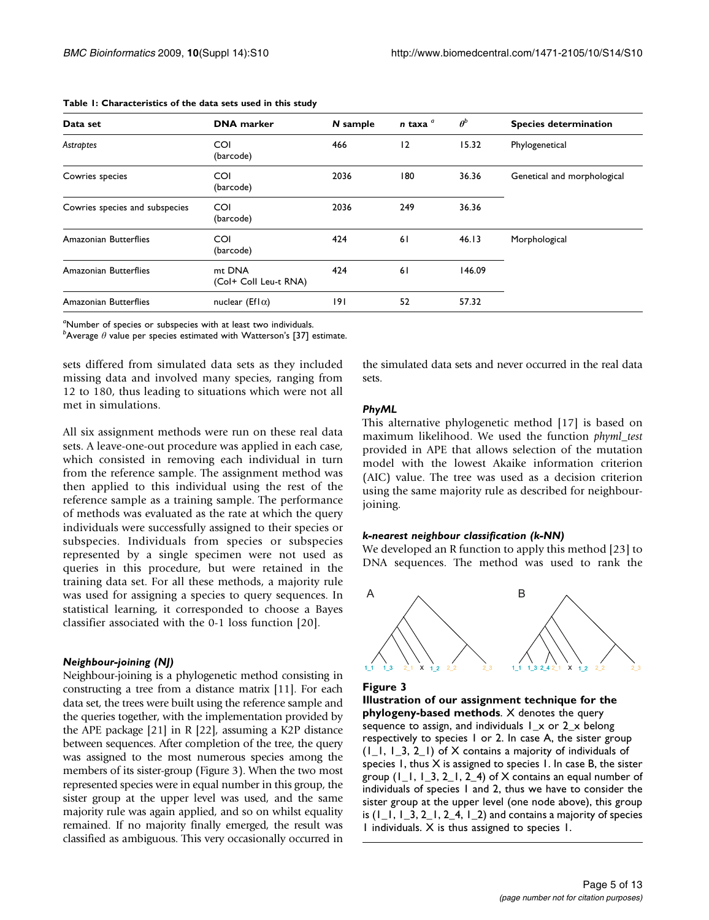| Data set                       | <b>DNA</b> marker               | N sample | $n$ taxa $a$ | $\boldsymbol{\theta}^{\boldsymbol{b}}$ | <b>Species determination</b> |
|--------------------------------|---------------------------------|----------|--------------|----------------------------------------|------------------------------|
| Astraptes                      | COI<br>(barcode)                | 466      | 12           | 15.32                                  | Phylogenetical               |
| Cowries species                | COI<br>(barcode)                | 2036     | 180          | 36.36                                  | Genetical and morphological  |
| Cowries species and subspecies | <b>COI</b><br>(barcode)         | 2036     | 249          | 36.36                                  |                              |
| <b>Amazonian Butterflies</b>   | <b>COI</b><br>(barcode)         | 424      | 6 I          | 46.13                                  | Morphological                |
| <b>Amazonian Butterflies</b>   | mt DNA<br>(Col+ Coll Leu-t RNA) | 424      | 61           | 146.09                                 |                              |
| <b>Amazonian Butterflies</b>   | nuclear (Efl $\alpha$ )         | 9        | 52           | 57.32                                  |                              |

#### <span id="page-4-0"></span>Table 1: Characteristics of the data sets used in this study

<sup>a</sup>Number of species or subspecies with at least two individuals.

*b* Average  $\theta$  value per species estimated with Watterson's [[37](#page-12-0)] estimate.

sets differed from simulated data sets as they included missing data and involved many species, ranging from 12 to 180, thus leading to situations which were not all met in simulations.

All six assignment methods were run on these real data sets. A leave-one-out procedure was applied in each case, which consisted in removing each individual in turn from the reference sample. The assignment method was then applied to this individual using the rest of the reference sample as a training sample. The performance of methods was evaluated as the rate at which the query individuals were successfully assigned to their species or subspecies. Individuals from species or subspecies represented by a single specimen were not used as queries in this procedure, but were retained in the training data set. For all these methods, a majority rule was used for assigning a species to query sequences. In statistical learning, it corresponded to choose a Bayes classifier associated with the 0-1 loss function [[20\]](#page-11-0).

# Neighbour-joining (NJ)

Neighbour-joining is a phylogenetic method consisting in constructing a tree from a distance matrix [\[11\]](#page-11-0). For each data set, the trees were built using the reference sample and the queries together, with the implementation provided by the APE package [\[21](#page-11-0)] in R [[22](#page-11-0)], assuming a K2P distance between sequences. After completion of the tree, the query was assigned to the most numerous species among the members of its sister-group (Figure 3). When the two most represented species were in equal number in this group, the sister group at the upper level was used, and the same majority rule was again applied, and so on whilst equality remained. If no majority finally emerged, the result was classified as ambiguous. This very occasionally occurred in

the simulated data sets and never occurred in the real data sets.

# PhyML

This alternative phylogenetic method [\[17](#page-11-0)] is based on maximum likelihood. We used the function *phyml test* provided in APE that allows selection of the mutation model with the lowest Akaike information criterion (AIC) value. The tree was used as a decision criterion using the same majority rule as described for neighbourjoining.

#### k-nearest neighbour classification (k-NN)

We developed an R function to apply this method [[23\]](#page-11-0) to DNA sequences. The method was used to rank the



#### Figure 3

Illustration of our assignment technique for the phylogeny-based methods. X denotes the query sequence to assign, and individuals  $1_x$  or  $2_x$  belong respectively to species 1 or 2. In case A, the sister group  $(1, 1, 3, 2, 1)$  of X contains a majority of individuals of species 1, thus  $X$  is assigned to species 1. In case B, the sister group  $(l_l, l_3, 2_l, 2_d)$  of X contains an equal number of individuals of species 1 and 2, thus we have to consider the sister group at the upper level (one node above), this group is  $(1_1, 1_3, 2_1, 2_4, 1_2)$  and contains a majority of species 1 individuals. X is thus assigned to species 1.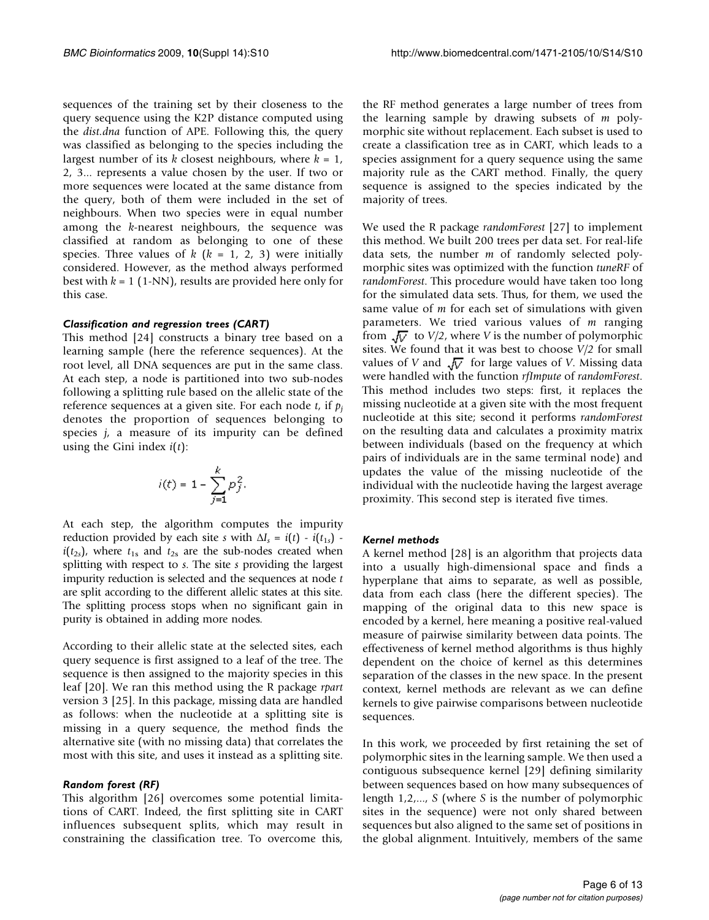sequences of the training set by their closeness to the query sequence using the K2P distance computed using the dist.dna function of APE. Following this, the query was classified as belonging to the species including the largest number of its k closest neighbours, where  $k = 1$ , 2, 3... represents a value chosen by the user. If two or more sequences were located at the same distance from the query, both of them were included in the set of neighbours. When two species were in equal number among the k-nearest neighbours, the sequence was classified at random as belonging to one of these species. Three values of  $k$  ( $k = 1, 2, 3$ ) were initially considered. However, as the method always performed best with  $k = 1$  (1-NN), results are provided here only for this case.

#### Classification and regression trees (CART)

This method [[24\]](#page-11-0) constructs a binary tree based on a learning sample (here the reference sequences). At the root level, all DNA sequences are put in the same class. At each step, a node is partitioned into two sub-nodes following a splitting rule based on the allelic state of the reference sequences at a given site. For each node t, if  $p_i$ denotes the proportion of sequences belonging to species j, a measure of its impurity can be defined using the Gini index  $i(t)$ :

$$
i(t) = 1 - \sum_{j=1}^{k} p_j^2.
$$

At each step, the algorithm computes the impurity reduction provided by each site s with  $\Delta I_s = i(t) - i(t_{1s})$   $i(t_{2s})$ , where  $t_{1s}$  and  $t_{2s}$  are the sub-nodes created when splitting with respect to s. The site s providing the largest impurity reduction is selected and the sequences at node t are split according to the different allelic states at this site. The splitting process stops when no significant gain in purity is obtained in adding more nodes.

According to their allelic state at the selected sites, each query sequence is first assigned to a leaf of the tree. The sequence is then assigned to the majority species in this leaf [\[20](#page-11-0)]. We ran this method using the R package rpart version 3 [\[25](#page-11-0)]. In this package, missing data are handled as follows: when the nucleotide at a splitting site is missing in a query sequence, the method finds the alternative site (with no missing data) that correlates the most with this site, and uses it instead as a splitting site.

#### Random forest (RF)

This algorithm [[26\]](#page-11-0) overcomes some potential limitations of CART. Indeed, the first splitting site in CART influences subsequent splits, which may result in constraining the classification tree. To overcome this,

the RF method generates a large number of trees from the learning sample by drawing subsets of  $m$  polymorphic site without replacement. Each subset is used to create a classification tree as in CART, which leads to a species assignment for a query sequence using the same majority rule as the CART method. Finally, the query sequence is assigned to the species indicated by the majority of trees.

We used the R package *randomForest* [\[27](#page-11-0)] to implement this method. We built 200 trees per data set. For real-life data sets, the number  $m$  of randomly selected polymorphic sites was optimized with the function tuneRF of randomForest. This procedure would have taken too long for the simulated data sets. Thus, for them, we used the same value of m for each set of simulations with given parameters. We tried various values of m ranging from  $\sqrt{V}$  to  $V/2$ , where V is the number of polymorphic sites. We found that it was best to choose  $V/2$  for small values of V and  $\sqrt{V}$  for large values of V. Missing data were handled with the function rfImpute of randomForest. This method includes two steps: first, it replaces the missing nucleotide at a given site with the most frequent nucleotide at this site; second it performs randomForest on the resulting data and calculates a proximity matrix between individuals (based on the frequency at which pairs of individuals are in the same terminal node) and updates the value of the missing nucleotide of the individual with the nucleotide having the largest average proximity. This second step is iterated five times.

#### Kernel methods

A kernel method [\[28](#page-12-0)] is an algorithm that projects data into a usually high-dimensional space and finds a hyperplane that aims to separate, as well as possible, data from each class (here the different species). The mapping of the original data to this new space is encoded by a kernel, here meaning a positive real-valued measure of pairwise similarity between data points. The effectiveness of kernel method algorithms is thus highly dependent on the choice of kernel as this determines separation of the classes in the new space. In the present context, kernel methods are relevant as we can define kernels to give pairwise comparisons between nucleotide sequences.

In this work, we proceeded by first retaining the set of polymorphic sites in the learning sample. We then used a contiguous subsequence kernel [[29\]](#page-12-0) defining similarity between sequences based on how many subsequences of length 1,2,..., S (where S is the number of polymorphic sites in the sequence) were not only shared between sequences but also aligned to the same set of positions in the global alignment. Intuitively, members of the same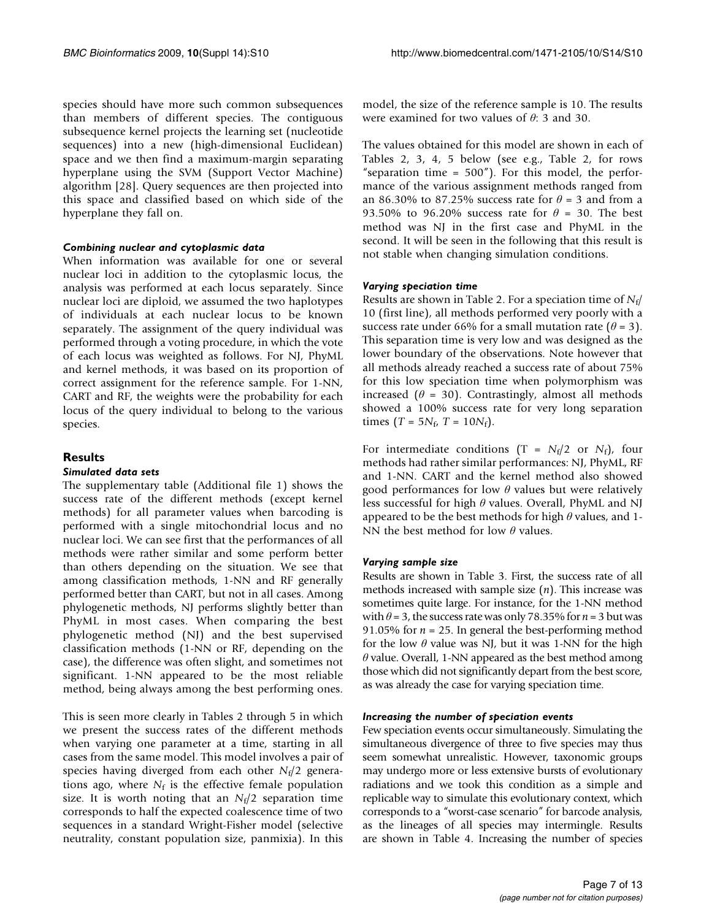species should have more such common subsequences than members of different species. The contiguous subsequence kernel projects the learning set (nucleotide sequences) into a new (high-dimensional Euclidean) space and we then find a maximum-margin separating hyperplane using the SVM (Support Vector Machine) algorithm [[28\]](#page-12-0). Query sequences are then projected into this space and classified based on which side of the hyperplane they fall on.

#### Combining nuclear and cytoplasmic data

When information was available for one or several nuclear loci in addition to the cytoplasmic locus, the analysis was performed at each locus separately. Since nuclear loci are diploid, we assumed the two haplotypes of individuals at each nuclear locus to be known separately. The assignment of the query individual was performed through a voting procedure, in which the vote of each locus was weighted as follows. For NJ, PhyML and kernel methods, it was based on its proportion of correct assignment for the reference sample. For 1-NN, CART and RF, the weights were the probability for each locus of the query individual to belong to the various species.

#### Results

#### Simulated data sets

The supplementary table (Additional file [1](#page-11-0)) shows the success rate of the different methods (except kernel methods) for all parameter values when barcoding is performed with a single mitochondrial locus and no nuclear loci. We can see first that the performances of all methods were rather similar and some perform better than others depending on the situation. We see that among classification methods, 1-NN and RF generally performed better than CART, but not in all cases. Among phylogenetic methods, NJ performs slightly better than PhyML in most cases. When comparing the best phylogenetic method (NJ) and the best supervised classification methods (1-NN or RF, depending on the case), the difference was often slight, and sometimes not significant. 1-NN appeared to be the most reliable method, being always among the best performing ones.

This is seen more clearly in Tables [2](#page-7-0) through [5](#page-8-0) in which we present the success rates of the different methods when varying one parameter at a time, starting in all cases from the same model. This model involves a pair of species having diverged from each other  $N_f/2$  generations ago, where  $N_f$  is the effective female population size. It is worth noting that an  $N_f/2$  separation time corresponds to half the expected coalescence time of two sequences in a standard Wright-Fisher model (selective neutrality, constant population size, panmixia). In this model, the size of the reference sample is 10. The results were examined for two values of  $\theta$ : 3 and 30.

The values obtained for this model are shown in each of Tables [2](#page-7-0), [3,](#page-7-0) [4](#page-8-0), [5](#page-8-0) below (see e.g., Table [2](#page-7-0), for rows "separation time =  $500$ "). For this model, the performance of the various assignment methods ranged from an 86.30% to 87.25% success rate for  $\theta = 3$  and from a 93.50% to 96.20% success rate for  $\theta$  = 30. The best method was NJ in the first case and PhyML in the second. It will be seen in the following that this result is not stable when changing simulation conditions.

#### Varying speciation time

Results are shown in Table [2](#page-7-0). For a speciation time of  $N_f$ 10 (first line), all methods performed very poorly with a success rate under 66% for a small mutation rate ( $\theta$  = 3). This separation time is very low and was designed as the lower boundary of the observations. Note however that all methods already reached a success rate of about 75% for this low speciation time when polymorphism was increased ( $\theta$  = 30). Contrastingly, almost all methods showed a 100% success rate for very long separation times (*T* =  $5N_f$ , *T* =  $10N_f$ ).

For intermediate conditions (T =  $N_f/2$  or  $N_f$ ), four methods had rather similar performances: NJ, PhyML, RF and 1-NN. CART and the kernel method also showed good performances for low  $\theta$  values but were relatively less successful for high  $\theta$  values. Overall, PhyML and NJ appeared to be the best methods for high  $\theta$  values, and 1-NN the best method for low  $\theta$  values.

#### Varying sample size

Results are shown in Table [3](#page-7-0). First, the success rate of all methods increased with sample size  $(n)$ . This increase was sometimes quite large. For instance, for the 1-NN method with  $\theta$  = 3, the success rate was only 78.35% for  $n = 3$  but was 91.05% for  $n = 25$ . In general the best-performing method for the low  $\theta$  value was NJ, but it was 1-NN for the high  $\theta$  value. Overall, 1-NN appeared as the best method among those which did not significantly depart from the best score, as was already the case for varying speciation time.

#### Increasing the number of speciation events

Few speciation events occur simultaneously. Simulating the simultaneous divergence of three to five species may thus seem somewhat unrealistic. However, taxonomic groups may undergo more or less extensive bursts of evolutionary radiations and we took this condition as a simple and replicable way to simulate this evolutionary context, which corresponds to a "worst-case scenario" for barcode analysis, as the lineages of all species may intermingle. Results are shown in Table [4](#page-8-0). Increasing the number of species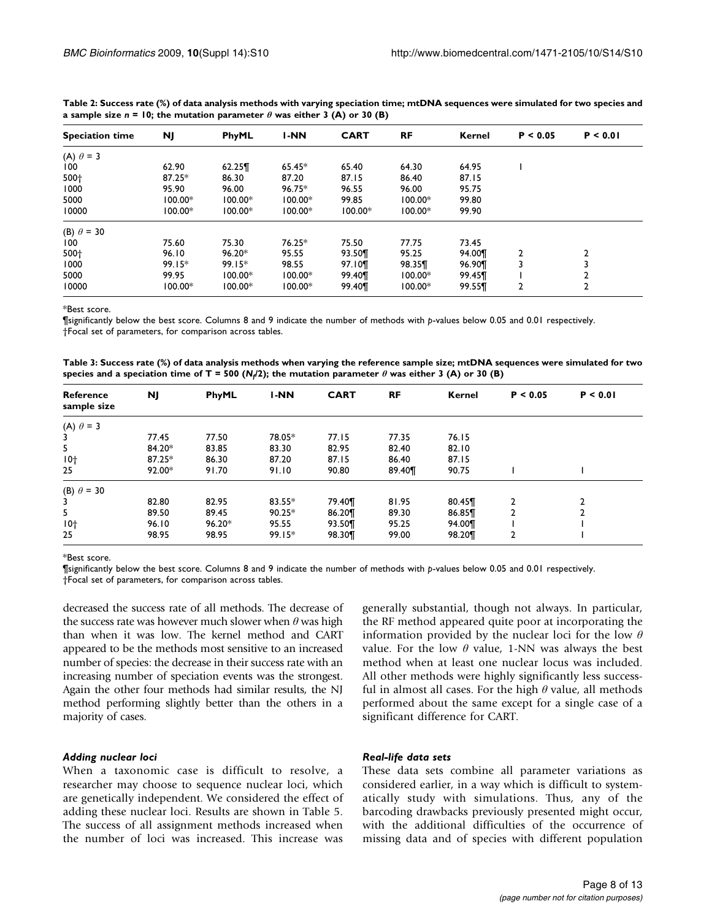| <b>Speciation time</b> | NJ        | PhyML     | <b>I-NN</b> | <b>CART</b> | <b>RF</b> | <b>Kernel</b> | P < 0.05 | P < 0.01       |
|------------------------|-----------|-----------|-------------|-------------|-----------|---------------|----------|----------------|
| (A) $\theta$ = 3       |           |           |             |             |           |               |          |                |
| 100 <sub>1</sub>       | 62.90     | 62.25     | $65.45*$    | 65.40       | 64.30     | 64.95         |          |                |
| 500+                   | $87.25*$  | 86.30     | 87.20       | 87.15       | 86.40     | 87.15         |          |                |
| 1000                   | 95.90     | 96.00     | $96.75*$    | 96.55       | 96.00     | 95.75         |          |                |
| 5000                   | $100.00*$ | $100.00*$ | $100.00*$   | 99.85       | $100.00*$ | 99.80         |          |                |
| 10000                  | $100.00*$ | $100.00*$ | $100.00*$   | $100.00*$   | $100.00*$ | 99.90         |          |                |
| (B) $\theta$ = 30      |           |           |             |             |           |               |          |                |
| 100                    | 75.60     | 75.30     | $76.25*$    | 75.50       | 77.75     | 73.45         |          |                |
| 500+                   | 96.10     | $96.20*$  | 95.55       | 93.50¶      | 95.25     | 94.00¶        | 2        | $\overline{2}$ |
| 1000                   | $99.15*$  | $99.15*$  | 98.55       | 97.10¶      | 98.35¶    | 96.90¶        |          |                |
| 5000                   | 99.95     | $100.00*$ | $100.00*$   | 99.40¶      | $100.00*$ | 99.45¶        |          |                |
| 10000                  | $100.00*$ | $100.00*$ | $100.00*$   | 99.40¶      | $100.00*$ | 99.55         | 2        | 2              |

<span id="page-7-0"></span>Table 2: Success rate (%) of data analysis methods with varying speciation time; mtDNA sequences were simulated for two species and a sample size n = 10; the mutation parameter  $\theta$  was either 3 (A) or 30 (B)

\*Best score.

¶significantly below the best score. Columns 8 and 9 indicate the number of methods with p-values below 0.05 and 0.01 respectively. †Focal set of parameters, for comparison across tables.

Table 3: Success rate (%) of data analysis methods when varying the reference sample size; mtDNA sequences were simulated for two species and a speciation time of T = 500 (N<sub>f</sub>/2); the mutation parameter  $\theta$  was either 3 (A) or 30 (B)

| Reference<br>sample size | <b>NJ</b> | PhyML  | <b>I-NN</b> | <b>CART</b> | <b>RF</b> | Kernel | P < 0.05       | P < 0.01 |
|--------------------------|-----------|--------|-------------|-------------|-----------|--------|----------------|----------|
| (A) $\theta$ = 3         |           |        |             |             |           |        |                |          |
| 3                        | 77.45     | 77.50  | 78.05*      | 77.15       | 77.35     | 76.15  |                |          |
| 5                        | 84.20*    | 83.85  | 83.30       | 82.95       | 82.40     | 82.10  |                |          |
| 10 <sub>1</sub>          | $87.25*$  | 86.30  | 87.20       | 87.15       | 86.40     | 87.15  |                |          |
| 25                       | 92.00*    | 91.70  | 91.10       | 90.80       | 89.40¶    | 90.75  |                |          |
| (B) $\theta$ = 30        |           |        |             |             |           |        |                |          |
| 3                        | 82.80     | 82.95  | $83.55*$    | 79.40¶      | 81.95     | 80.45  | $\overline{2}$ |          |
| 5                        | 89.50     | 89.45  | $90.25*$    | 86.20¶      | 89.30     | 86.85T |                |          |
| 10 <sub>1</sub>          | 96.10     | 96.20* | 95.55       | 93.50¶      | 95.25     | 94.00¶ |                |          |
| 25                       | 98.95     | 98.95  | $99.15*$    | 98.30¶      | 99.00     | 98.20¶ | $\overline{2}$ |          |

\*Best score.

¶significantly below the best score. Columns 8 and 9 indicate the number of methods with p-values below 0.05 and 0.01 respectively. †Focal set of parameters, for comparison across tables.

decreased the success rate of all methods. The decrease of the success rate was however much slower when  $\theta$  was high than when it was low. The kernel method and CART appeared to be the methods most sensitive to an increased number of species: the decrease in their success rate with an increasing number of speciation events was the strongest. Again the other four methods had similar results, the NJ method performing slightly better than the others in a majority of cases.

#### Adding nuclear loci

When a taxonomic case is difficult to resolve, a researcher may choose to sequence nuclear loci, which are genetically independent. We considered the effect of adding these nuclear loci. Results are shown in Table [5.](#page-8-0) The success of all assignment methods increased when the number of loci was increased. This increase was generally substantial, though not always. In particular, the RF method appeared quite poor at incorporating the information provided by the nuclear loci for the low  $\theta$ value. For the low  $\theta$  value, 1-NN was always the best method when at least one nuclear locus was included. All other methods were highly significantly less successful in almost all cases. For the high  $\theta$  value, all methods performed about the same except for a single case of a significant difference for CART.

#### Real-life data sets

These data sets combine all parameter variations as considered earlier, in a way which is difficult to systematically study with simulations. Thus, any of the barcoding drawbacks previously presented might occur, with the additional difficulties of the occurrence of missing data and of species with different population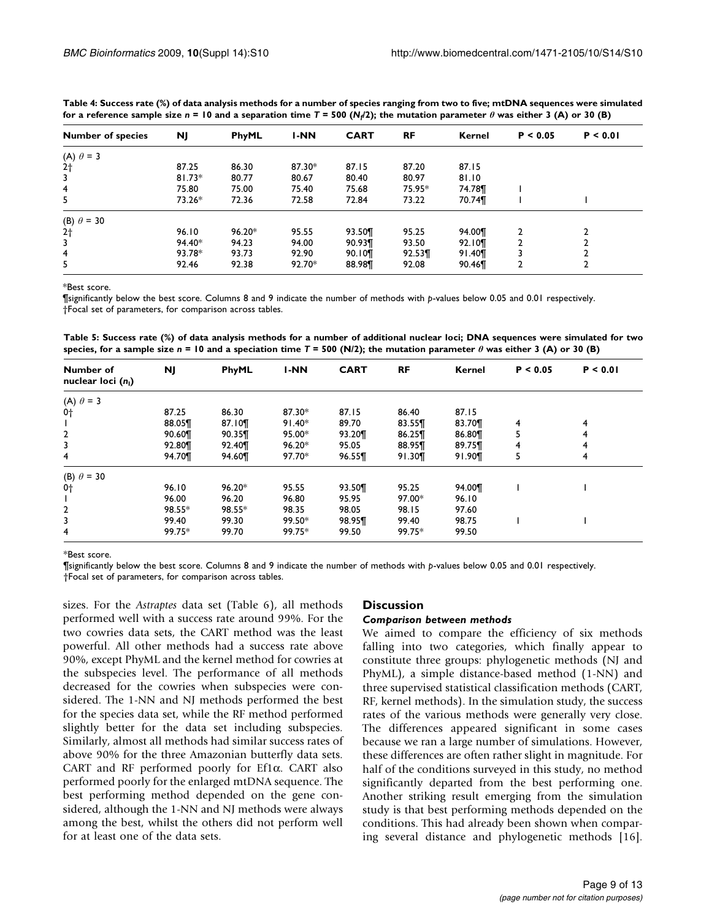| <b>Number of species</b> | <b>NJ</b> | PhyML    | <b>I-NN</b> | <b>CART</b> | <b>RF</b> | <b>Kernel</b> | P < 0.05 | P < 0.01 |
|--------------------------|-----------|----------|-------------|-------------|-----------|---------------|----------|----------|
| (A) $\theta$ = 3         |           |          |             |             |           |               |          |          |
| $2^{+}$                  | 87.25     | 86.30    | 87.30*      | 87.15       | 87.20     | 87.15         |          |          |
| 3                        | $81.73*$  | 80.77    | 80.67       | 80.40       | 80.97     | 81.10         |          |          |
| 4                        | 75.80     | 75.00    | 75.40       | 75.68       | 75.95*    | 74.78¶        |          |          |
| 5                        | $73.26*$  | 72.36    | 72.58       | 72.84       | 73.22     | 70.74¶        |          |          |
| (B) $\theta$ = 30        |           |          |             |             |           |               |          |          |
| 2 <sub>1</sub>           | 96.10     | $96.20*$ | 95.55       | 93.50¶      | 95.25     | 94.00¶        |          |          |
| 3                        | 94.40*    | 94.23    | 94.00       | 90.93¶      | 93.50     | 92.10¶        |          |          |
| $\overline{4}$           | 93.78*    | 93.73    | 92.90       | 90.10¶      | 92.53     | 91.40¶        |          |          |
| 5.                       | 92.46     | 92.38    | 92.70*      | 88.98¶      | 92.08     | 90.46         | 2        |          |

<span id="page-8-0"></span>Table 4: Success rate (%) of data analysis methods for a number of species ranging from two to five; mtDNA sequences were simulated for a reference sample size n = 10 and a separation time T = 500 (N<sub>f</sub>/2); the mutation parameter  $\theta$  was either 3 (A) or 30 (B)

\*Best score.

¶significantly below the best score. Columns 8 and 9 indicate the number of methods with p-values below 0.05 and 0.01 respectively. †Focal set of parameters, for comparison across tables.

Table 5: Success rate (%) of data analysis methods for a number of additional nuclear loci; DNA sequences were simulated for two species, for a sample size n = 10 and a speciation time  $T = 500$  (N/2); the mutation parameter  $\theta$  was either 3 (A) or 30 (B)

| Number of<br>nuclear loci $(n_1)$ | <b>NJ</b> | PhyML    | <b>I-NN</b> | <b>CART</b> | <b>RF</b> | <b>Kernel</b>      | P < 0.05 | P < 0.01 |
|-----------------------------------|-----------|----------|-------------|-------------|-----------|--------------------|----------|----------|
| (A) $\theta$ = 3                  |           |          |             |             |           |                    |          |          |
| 0 <sub>1</sub>                    | 87.25     | 86.30    | $87.30*$    | 87.15       | 86.40     | 87.15              |          |          |
|                                   | 88.05¶    | 87.10    | $91.40*$    | 89.70       | 83.55¶    | 83.70 <sub>T</sub> | 4        | 4        |
| $\overline{2}$                    | 90.60¶    | 90.35    | 95.00*      | 93.20¶      | 86.25¶    | 86.80T             |          |          |
| 3                                 | 92.80¶    | 92.40¶   | $96.20*$    | 95.05       | 88.95¶    | 89.75              | 4        |          |
| 4                                 | 94.70¶    | 94.60¶   | $97.70*$    | 96.55       | 91.30¶    | 91.90              | 5        | 4        |
| (B) $\theta$ = 30                 |           |          |             |             |           |                    |          |          |
| 0†                                | 96.10     | $96.20*$ | 95.55       | 93.50¶      | 95.25     | 94.00¶             |          |          |
|                                   | 96.00     | 96.20    | 96.80       | 95.95       | 97.00*    | 96.10              |          |          |
| 2                                 | 98.55*    | 98.55*   | 98.35       | 98.05       | 98.15     | 97.60              |          |          |
| 3                                 | 99.40     | 99.30    | 99.50*      | 98.95¶      | 99.40     | 98.75              |          |          |
| 4                                 | 99.75*    | 99.70    | 99.75*      | 99.50       | 99.75*    | 99.50              |          |          |

\*Best score.

¶significantly below the best score. Columns 8 and 9 indicate the number of methods with p-values below 0.05 and 0.01 respectively. †Focal set of parameters, for comparison across tables.

sizes. For the Astraptes data set (Table [6](#page-9-0)), all methods performed well with a success rate around 99%. For the two cowries data sets, the CART method was the least powerful. All other methods had a success rate above 90%, except PhyML and the kernel method for cowries at the subspecies level. The performance of all methods decreased for the cowries when subspecies were considered. The 1-NN and NJ methods performed the best for the species data set, while the RF method performed slightly better for the data set including subspecies. Similarly, almost all methods had similar success rates of above 90% for the three Amazonian butterfly data sets. CART and RF performed poorly for  $Ef1\alpha$ . CART also performed poorly for the enlarged mtDNA sequence. The best performing method depended on the gene considered, although the 1-NN and NJ methods were always among the best, whilst the others did not perform well for at least one of the data sets.

# **Discussion**

#### Comparison between methods

We aimed to compare the efficiency of six methods falling into two categories, which finally appear to constitute three groups: phylogenetic methods (NJ and PhyML), a simple distance-based method (1-NN) and three supervised statistical classification methods (CART, RF, kernel methods). In the simulation study, the success rates of the various methods were generally very close. The differences appeared significant in some cases because we ran a large number of simulations. However, these differences are often rather slight in magnitude. For half of the conditions surveyed in this study, no method significantly departed from the best performing one. Another striking result emerging from the simulation study is that best performing methods depended on the conditions. This had already been shown when comparing several distance and phylogenetic methods [\[16](#page-11-0)].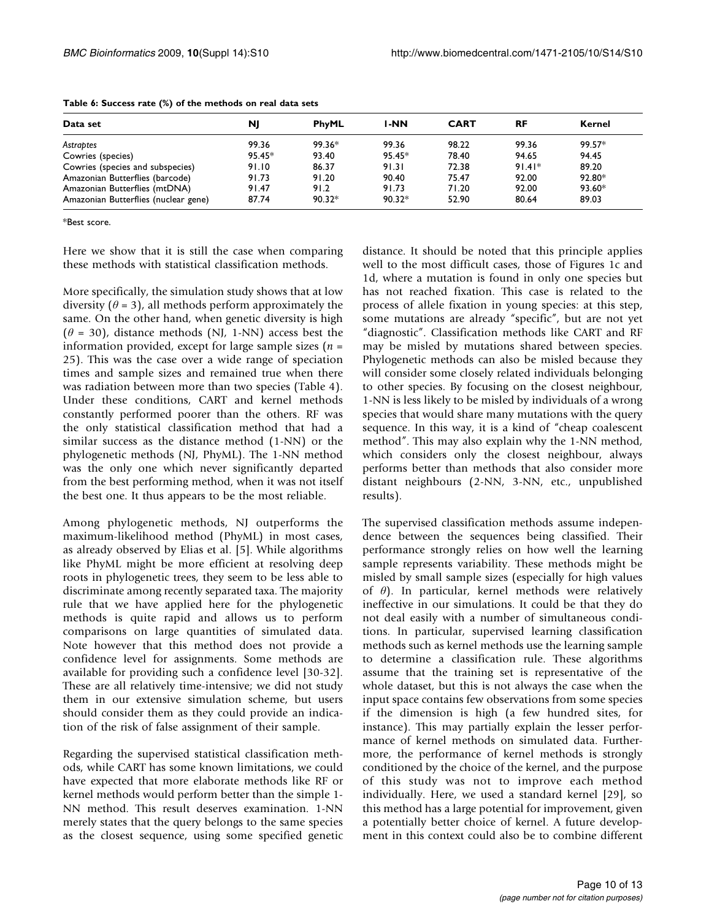| Data set                             | NJ       | PhyML    | <b>I-NN</b> | <b>CART</b> | RF       | Kernel |
|--------------------------------------|----------|----------|-------------|-------------|----------|--------|
| Astraptes                            | 99.36    | $99.36*$ | 99.36       | 98.22       | 99.36    | 99.57* |
| Cowries (species)                    | $95.45*$ | 93.40    | $95.45*$    | 78.40       | 94.65    | 94.45  |
| Cowries (species and subspecies)     | 91.10    | 86.37    | 91.31       | 72.38       | $91.41*$ | 89.20  |
| Amazonian Butterflies (barcode)      | 91.73    | 91.20    | 90.40       | 75.47       | 92.00    | 92.80* |
| Amazonian Butterflies (mtDNA)        | 91.47    | 91.2     | 91.73       | 71.20       | 92.00    | 93.60* |
| Amazonian Butterflies (nuclear gene) | 87.74    | $90.32*$ | $90.32*$    | 52.90       | 80.64    | 89.03  |
|                                      |          |          |             |             |          |        |

#### <span id="page-9-0"></span>Table 6: Success rate (%) of the methods on real data sets

\*Best score.

Here we show that it is still the case when comparing these methods with statistical classification methods.

More specifically, the simulation study shows that at low diversity ( $\theta$  = 3), all methods perform approximately the same. On the other hand, when genetic diversity is high  $(θ = 30)$ , distance methods (NJ, 1-NN) access best the information provided, except for large sample sizes ( $n =$ 25). This was the case over a wide range of speciation times and sample sizes and remained true when there was radiation between more than two species (Table [4\)](#page-8-0). Under these conditions, CART and kernel methods constantly performed poorer than the others. RF was the only statistical classification method that had a similar success as the distance method (1-NN) or the phylogenetic methods (NJ, PhyML). The 1-NN method was the only one which never significantly departed from the best performing method, when it was not itself the best one. It thus appears to be the most reliable.

Among phylogenetic methods, NJ outperforms the maximum-likelihood method (PhyML) in most cases, as already observed by Elias et al. [\[5\]](#page-11-0). While algorithms like PhyML might be more efficient at resolving deep roots in phylogenetic trees, they seem to be less able to discriminate among recently separated taxa. The majority rule that we have applied here for the phylogenetic methods is quite rapid and allows us to perform comparisons on large quantities of simulated data. Note however that this method does not provide a confidence level for assignments. Some methods are available for providing such a confidence level [\[30-32](#page-12-0)]. These are all relatively time-intensive; we did not study them in our extensive simulation scheme, but users should consider them as they could provide an indication of the risk of false assignment of their sample.

Regarding the supervised statistical classification methods, while CART has some known limitations, we could have expected that more elaborate methods like RF or kernel methods would perform better than the simple 1- NN method. This result deserves examination. 1-NN merely states that the query belongs to the same species as the closest sequence, using some specified genetic

distance. It should be noted that this principle applies well to the most difficult cases, those of Figures [1c](#page-2-0) and [1d](#page-2-0), where a mutation is found in only one species but has not reached fixation. This case is related to the process of allele fixation in young species: at this step, some mutations are already "specific", but are not yet "diagnostic". Classification methods like CART and RF may be misled by mutations shared between species. Phylogenetic methods can also be misled because they will consider some closely related individuals belonging to other species. By focusing on the closest neighbour, 1-NN is less likely to be misled by individuals of a wrong species that would share many mutations with the query sequence. In this way, it is a kind of "cheap coalescent method". This may also explain why the 1-NN method, which considers only the closest neighbour, always performs better than methods that also consider more distant neighbours (2-NN, 3-NN, etc., unpublished results).

The supervised classification methods assume independence between the sequences being classified. Their performance strongly relies on how well the learning sample represents variability. These methods might be misled by small sample sizes (especially for high values of  $\theta$ ). In particular, kernel methods were relatively ineffective in our simulations. It could be that they do not deal easily with a number of simultaneous conditions. In particular, supervised learning classification methods such as kernel methods use the learning sample to determine a classification rule. These algorithms assume that the training set is representative of the whole dataset, but this is not always the case when the input space contains few observations from some species if the dimension is high (a few hundred sites, for instance). This may partially explain the lesser performance of kernel methods on simulated data. Furthermore, the performance of kernel methods is strongly conditioned by the choice of the kernel, and the purpose of this study was not to improve each method individually. Here, we used a standard kernel [\[29](#page-12-0)], so this method has a large potential for improvement, given a potentially better choice of kernel. A future development in this context could also be to combine different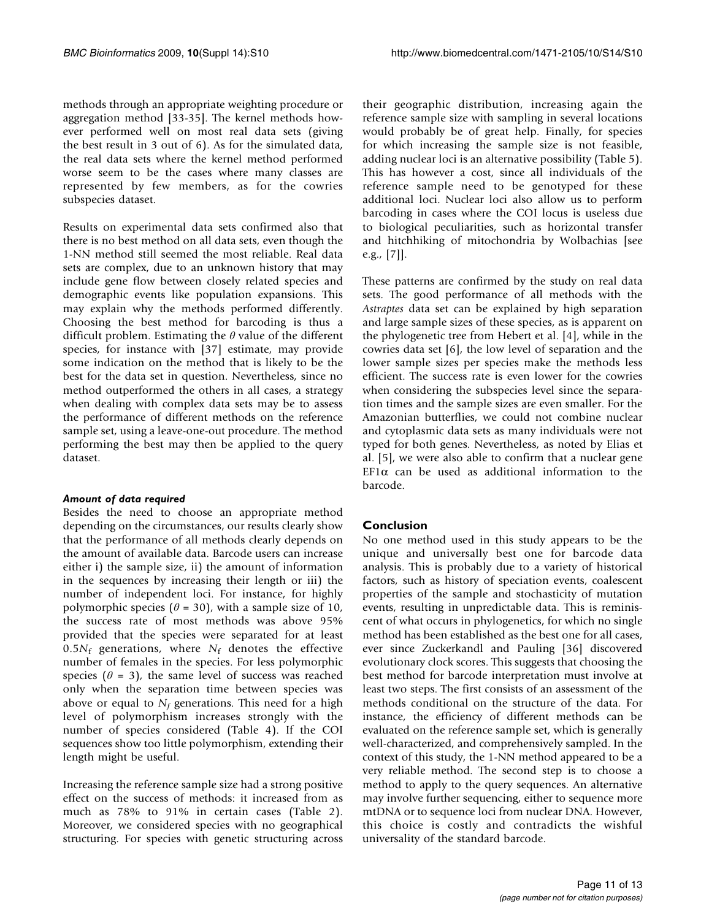methods through an appropriate weighting procedure or aggregation method [[33-35](#page-12-0)]. The kernel methods however performed well on most real data sets (giving the best result in 3 out of 6). As for the simulated data, the real data sets where the kernel method performed worse seem to be the cases where many classes are represented by few members, as for the cowries subspecies dataset.

Results on experimental data sets confirmed also that there is no best method on all data sets, even though the 1-NN method still seemed the most reliable. Real data sets are complex, due to an unknown history that may include gene flow between closely related species and demographic events like population expansions. This may explain why the methods performed differently. Choosing the best method for barcoding is thus a difficult problem. Estimating the  $\theta$  value of the different species, for instance with [\[37](#page-12-0)] estimate, may provide some indication on the method that is likely to be the best for the data set in question. Nevertheless, since no method outperformed the others in all cases, a strategy when dealing with complex data sets may be to assess the performance of different methods on the reference sample set, using a leave-one-out procedure. The method performing the best may then be applied to the query dataset.

# Amount of data required

Besides the need to choose an appropriate method depending on the circumstances, our results clearly show that the performance of all methods clearly depends on the amount of available data. Barcode users can increase either i) the sample size, ii) the amount of information in the sequences by increasing their length or iii) the number of independent loci. For instance, for highly polymorphic species ( $\theta$  = 30), with a sample size of 10, the success rate of most methods was above 95% provided that the species were separated for at least 0.5 $N_f$  generations, where  $N_f$  denotes the effective number of females in the species. For less polymorphic species ( $\theta = 3$ ), the same level of success was reached only when the separation time between species was above or equal to  $N_f$  generations. This need for a high level of polymorphism increases strongly with the number of species considered (Table [4\)](#page-8-0). If the COI sequences show too little polymorphism, extending their length might be useful.

Increasing the reference sample size had a strong positive effect on the success of methods: it increased from as much as 78% to 91% in certain cases (Table [2\)](#page-7-0). Moreover, we considered species with no geographical structuring. For species with genetic structuring across their geographic distribution, increasing again the reference sample size with sampling in several locations would probably be of great help. Finally, for species for which increasing the sample size is not feasible, adding nuclear loci is an alternative possibility (Table [5\)](#page-8-0). This has however a cost, since all individuals of the reference sample need to be genotyped for these additional loci. Nuclear loci also allow us to perform barcoding in cases where the COI locus is useless due to biological peculiarities, such as horizontal transfer and hitchhiking of mitochondria by Wolbachias [see e.g., [[7](#page-11-0)]].

These patterns are confirmed by the study on real data sets. The good performance of all methods with the Astraptes data set can be explained by high separation and large sample sizes of these species, as is apparent on the phylogenetic tree from Hebert et al. [[4](#page-11-0)], while in the cowries data set [[6](#page-11-0)], the low level of separation and the lower sample sizes per species make the methods less efficient. The success rate is even lower for the cowries when considering the subspecies level since the separation times and the sample sizes are even smaller. For the Amazonian butterflies, we could not combine nuclear and cytoplasmic data sets as many individuals were not typed for both genes. Nevertheless, as noted by Elias et al. [[5](#page-11-0)], we were also able to confirm that a nuclear gene  $EFA$  can be used as additional information to the barcode.

# Conclusion

No one method used in this study appears to be the unique and universally best one for barcode data analysis. This is probably due to a variety of historical factors, such as history of speciation events, coalescent properties of the sample and stochasticity of mutation events, resulting in unpredictable data. This is reminiscent of what occurs in phylogenetics, for which no single method has been established as the best one for all cases, ever since Zuckerkandl and Pauling [\[36](#page-12-0)] discovered evolutionary clock scores. This suggests that choosing the best method for barcode interpretation must involve at least two steps. The first consists of an assessment of the methods conditional on the structure of the data. For instance, the efficiency of different methods can be evaluated on the reference sample set, which is generally well-characterized, and comprehensively sampled. In the context of this study, the 1-NN method appeared to be a very reliable method. The second step is to choose a method to apply to the query sequences. An alternative may involve further sequencing, either to sequence more mtDNA or to sequence loci from nuclear DNA. However, this choice is costly and contradicts the wishful universality of the standard barcode.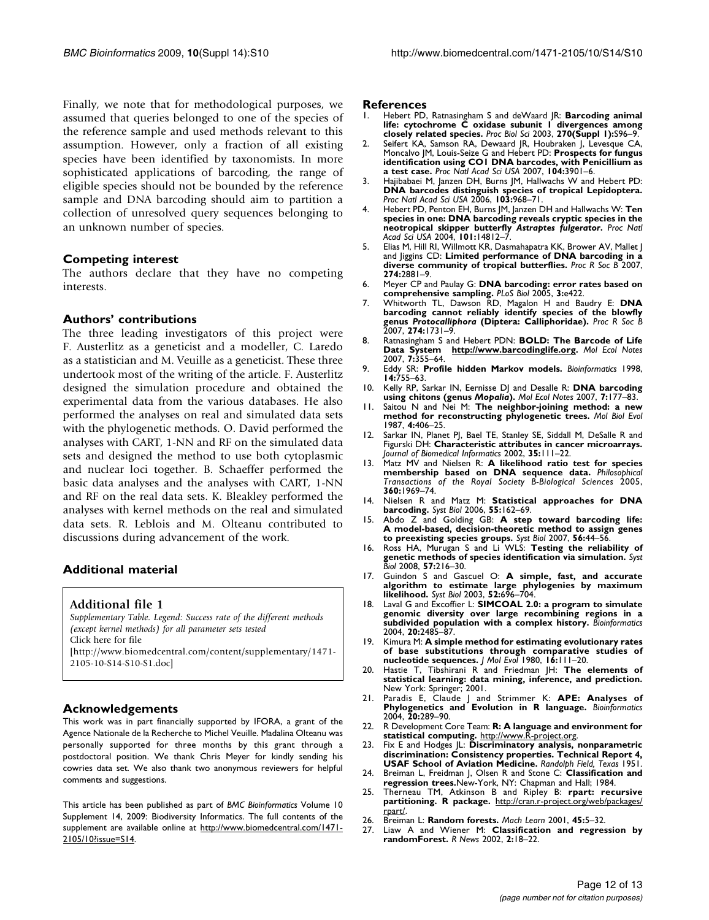<span id="page-11-0"></span>Finally, we note that for methodological purposes, we assumed that queries belonged to one of the species of the reference sample and used methods relevant to this assumption. However, only a fraction of all existing species have been identified by taxonomists. In more sophisticated applications of barcoding, the range of eligible species should not be bounded by the reference sample and DNA barcoding should aim to partition a collection of unresolved query sequences belonging to an unknown number of species.

# Competing interest

The authors declare that they have no competing interests.

# Authors' contributions

The three leading investigators of this project were F. Austerlitz as a geneticist and a modeller, C. Laredo as a statistician and M. Veuille as a geneticist. These three undertook most of the writing of the article. F. Austerlitz designed the simulation procedure and obtained the experimental data from the various databases. He also performed the analyses on real and simulated data sets with the phylogenetic methods. O. David performed the analyses with CART, 1-NN and RF on the simulated data sets and designed the method to use both cytoplasmic and nuclear loci together. B. Schaeffer performed the basic data analyses and the analyses with CART, 1-NN and RF on the real data sets. K. Bleakley performed the analyses with kernel methods on the real and simulated data sets. R. Leblois and M. Olteanu contributed to discussions during advancement of the work.

# Additional material

# Additional file 1

Supplementary Table. Legend: Success rate of the different methods (except kernel methods) for all parameter sets tested Click here for file [http://www.biomedcentral.com/content/supplementary/1471- 2105-10-S14-S10-S1.doc]

# Acknowledgements

This work was in part financially supported by IFORA, a grant of the Agence Nationale de la Recherche to Michel Veuille. Madalina Olteanu was personally supported for three months by this grant through a postdoctoral position. We thank Chris Meyer for kindly sending his cowries data set. We also thank two anonymous reviewers for helpful comments and suggestions.

This article has been published as part of BMC Bioinformatics Volume 10 Supplement 14, 2009: Biodiversity Informatics. The full contents of the supplement are available online at [http://www.biomedcentral.com/1471-](http://www.biomedcentral.com/1471-2105/10?issue=S14) [2105/10?issue=S14.](http://www.biomedcentral.com/1471-2105/10?issue=S14)

#### **References**

- Hebert PD, Ratnasingham S and deWaard JR: [Barcoding animal](http://www.ncbi.nlm.nih.gov/pubmed/12952648?dopt=Abstract) [life: cytochrome C oxidase subunit 1 divergences among](http://www.ncbi.nlm.nih.gov/pubmed/12952648?dopt=Abstract) [closely related species.](http://www.ncbi.nlm.nih.gov/pubmed/12952648?dopt=Abstract) Proc Biol Sci 2003, 270(Suppl 1):S96–9.
- 2. Seifert KA, Samson RA, Dewaard JR, Houbraken J, Levesque CA, Moncalvo JM, Louis-Seize G and Hebert PD: [Prospects for fungus](http://www.ncbi.nlm.nih.gov/pubmed/17360450?dopt=Abstract) [identification using CO1 DNA barcodes, with Penicillium as](http://www.ncbi.nlm.nih.gov/pubmed/17360450?dopt=Abstract) [a test case.](http://www.ncbi.nlm.nih.gov/pubmed/17360450?dopt=Abstract) Proc Natl Acad Sci USA 2007, 104:3901–6.
- 3. Hajibabaei M, Janzen DH, Burns JM, Hallwachs W and Hebert PD: [DNA barcodes distinguish species of tropical Lepidoptera.](http://www.ncbi.nlm.nih.gov/pubmed/16418261?dopt=Abstract) Proc Natl Acad Sci USA 2006, 103:968-71.
- 4. Hebert PD, Penton EH, Burns JM, Janzen DH and Hallwachs W: [Ten](http://www.ncbi.nlm.nih.gov/pubmed/15465915?dopt=Abstract) [species in one: DNA barcoding reveals cryptic species in the](http://www.ncbi.nlm.nih.gov/pubmed/15465915?dopt=Abstract) [neotropical skipper butterfly](http://www.ncbi.nlm.nih.gov/pubmed/15465915?dopt=Abstract) Astraptes fulgerator. Proc Natl Acad Sci USA 2004, 101:14812–7.
- 5. Elias M, Hill RI, Willmott KR, Dasmahapatra KK, Brower AV, Mallet J and Jiggins CD: [Limited performance of DNA barcoding in a](http://www.ncbi.nlm.nih.gov/pubmed/17785265?dopt=Abstract) [diverse community of tropical butterflies.](http://www.ncbi.nlm.nih.gov/pubmed/17785265?dopt=Abstract) Proc R Soc B 2007, 274:2881–9.
- 6. Meyer CP and Paulay G: [DNA barcoding: error rates based on](http://www.ncbi.nlm.nih.gov/pubmed/16336051?dopt=Abstract) [comprehensive sampling.](http://www.ncbi.nlm.nih.gov/pubmed/16336051?dopt=Abstract) PLoS Biol 2005, 3:e422.
- 7. Whitworth TL, Dawson RD, Magalon H and Baudry E: [DNA](http://www.ncbi.nlm.nih.gov/pubmed/17472911?dopt=Abstract) [barcoding cannot reliably identify species of the blowfly](http://www.ncbi.nlm.nih.gov/pubmed/17472911?dopt=Abstract) genus Protocalliphora [\(Diptera: Calliphoridae\).](http://www.ncbi.nlm.nih.gov/pubmed/17472911?dopt=Abstract) Proc R Soc B 2007, 274:1731–9.
- 8. Ratnasingham S and Hebert PDN: [BOLD: The Barcode of Life](http://www.ncbi.nlm.nih.gov/pubmed/18784790?dopt=Abstract) [Data System](RatnasinghamSHebertPDN) [http://www.barcodinglife.org](RatnasinghamSHebertPDN)[.](http://www.ncbi.nlm.nih.gov/pubmed/18784790?dopt=Abstract) Mol Ecol Notes 2007, 7:355–64.
- 9. Eddy SR: [Profile hidden Markov models.](http://www.ncbi.nlm.nih.gov/pubmed/9918945?dopt=Abstract) Bioinformatics 1998, 14:755–63.
- 10. Kelly RP, Sarkar IN, Eernisse DJ and Desalle R: DNA barcoding using chitons (genus Mopalia). Mol Ecol Notes 2007, 7:177-83.
- 11. Saitou N and Nei M: [The neighbor-joining method: a new](http://www.ncbi.nlm.nih.gov/pubmed/3447015?dopt=Abstract) [method for reconstructing phylogenetic trees.](http://www.ncbi.nlm.nih.gov/pubmed/3447015?dopt=Abstract) Mol Biol Evol 1987, 4:406–25.
- 12. Sarkar IN, Planet PJ, Bael TE, Stanley SE, Siddall M, DeSalle R and Figurski DH: [Characteristic attributes in cancer microarrays.](http://www.ncbi.nlm.nih.gov/pubmed/12474425?dopt=Abstract) Journal of Biomedical Informatics 2002, 35:111-22.
- 13. Matz MV and Nielsen R: A likelihood ratio test for species membership based on DNA sequence data. Philosophica<br>Transactions of the Royal Society B-Biological Sciences 2005, 360:1969–74.
- 14. Nielsen R and Matz M: [Statistical approaches for DNA](http://www.ncbi.nlm.nih.gov/pubmed/16507534?dopt=Abstract) [barcoding.](http://www.ncbi.nlm.nih.gov/pubmed/16507534?dopt=Abstract) Syst Biol 2006, 55:162–69.
- 15. Abdo Z and Golding GB: [A step toward barcoding life:](http://www.ncbi.nlm.nih.gov/pubmed/17366136?dopt=Abstract) [A model-based, decision-theoretic method to assign genes](http://www.ncbi.nlm.nih.gov/pubmed/17366136?dopt=Abstract) [to preexisting species groups.](http://www.ncbi.nlm.nih.gov/pubmed/17366136?dopt=Abstract) Syst Biol 2007, 56:44–56.
- 16. Ross HA, Murugan S and Li WLS: [Testing the reliability of](http://www.ncbi.nlm.nih.gov/pubmed/18398767?dopt=Abstract) [genetic methods of species identification via simulation.](http://www.ncbi.nlm.nih.gov/pubmed/18398767?dopt=Abstract) Syst Biol 2008, 57:216–30.
- 17. Guindon S and Gascuel O: [A simple, fast, and accurate](http://www.ncbi.nlm.nih.gov/pubmed/14530136?dopt=Abstract) [algorithm to estimate large phylogenies by maximum](http://www.ncbi.nlm.nih.gov/pubmed/14530136?dopt=Abstract) [likelihood.](http://www.ncbi.nlm.nih.gov/pubmed/14530136?dopt=Abstract) Syst Biol 2003, 52:696–704.
- 18. Laval G and Excoffier L: [SIMCOAL 2.0: a program to simulate](http://www.ncbi.nlm.nih.gov/pubmed/15117750?dopt=Abstract) [genomic diversity over large recombining regions in a](http://www.ncbi.nlm.nih.gov/pubmed/15117750?dopt=Abstract) [subdivided population with a complex history.](http://www.ncbi.nlm.nih.gov/pubmed/15117750?dopt=Abstract) Bioinformatics 2004, 20:2485–87.
- 19. Kimura M: [A simple method for estimating evolutionary rates](http://www.ncbi.nlm.nih.gov/pubmed/7463489?dopt=Abstract) [of base substitutions through comparative studies of](http://www.ncbi.nlm.nih.gov/pubmed/7463489?dopt=Abstract) [nucleotide sequences.](http://www.ncbi.nlm.nih.gov/pubmed/7463489?dopt=Abstract) J Mol Evol 1980, 16:111–20.
- 20. Hastie T, Tibshirani R and Friedman JH: The elements of statistical learning: data mining, inference, and prediction. New York: Springer; 2001.
- 21. Paradis E, Claude J and Strimmer K: [APE: Analyses of](http://www.ncbi.nlm.nih.gov/pubmed/14734327?dopt=Abstract) [Phylogenetics and Evolution in R language.](http://www.ncbi.nlm.nih.gov/pubmed/14734327?dopt=Abstract) Bioinformatics 2004, 20:289–90.
- 22. R Development Core Team: R: A language and environment for statistical computing. <http://www.R-project.org>.
- 23. Fix E and Hodges JL: Discriminatory analysis, nonparametric discrimination: Consistency properties. Technical Report 4, USAF School of Aviation Medicine. Randolph Field, Texas 1951.
- 24. Breiman L, Freidman J, Olsen R and Stone C: Classification and regression trees.New-York, NY: Chapman and Hall; 1984.
- 25. Therneau TM, Atkinson B and Ripley B: rpart: recursive partitioning. R package. [http://cran.r-project.org/web/packages/](http://cran.r-project.org/web/packages/rpart/) [rpart/.](http://cran.r-project.org/web/packages/rpart/)
- 26. Breiman L: Random forests. Mach Learn 2001, 45:5–32.
- 27. Liaw A and Wiener M: Classification and regression by randomForest. R News 2002, 2:18–22.